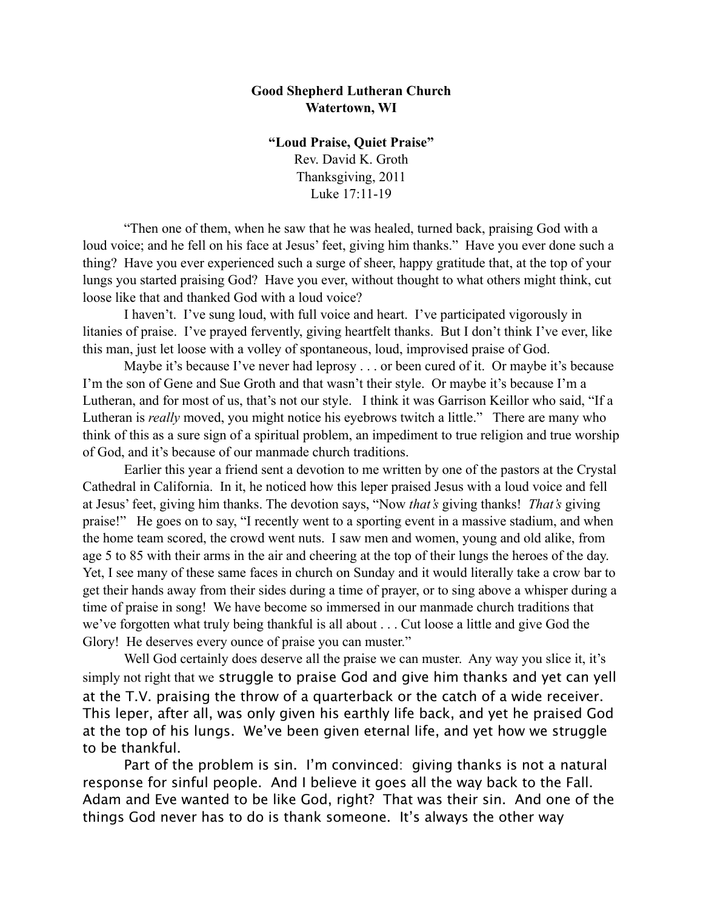## **Good Shepherd Lutheran Church Watertown, WI**

**"Loud Praise, Quiet Praise"** Rev. David K. Groth Thanksgiving, 2011 Luke 17:11-19

"Then one of them, when he saw that he was healed, turned back, praising God with a loud voice; and he fell on his face at Jesus' feet, giving him thanks." Have you ever done such a thing? Have you ever experienced such a surge of sheer, happy gratitude that, at the top of your lungs you started praising God? Have you ever, without thought to what others might think, cut loose like that and thanked God with a loud voice?

 I haven't. I've sung loud, with full voice and heart. I've participated vigorously in litanies of praise. I've prayed fervently, giving heartfelt thanks. But I don't think I've ever, like this man, just let loose with a volley of spontaneous, loud, improvised praise of God.

Maybe it's because I've never had leprosy . . . or been cured of it. Or maybe it's because I'm the son of Gene and Sue Groth and that wasn't their style. Or maybe it's because I'm a Lutheran, and for most of us, that's not our style. I think it was Garrison Keillor who said, "If a Lutheran is *really* moved, you might notice his eyebrows twitch a little." There are many who think of this as a sure sign of a spiritual problem, an impediment to true religion and true worship of God, and it's because of our manmade church traditions.

Earlier this year a friend sent a devotion to me written by one of the pastors at the Crystal Cathedral in California. In it, he noticed how this leper praised Jesus with a loud voice and fell at Jesus' feet, giving him thanks. The devotion says, "Now *that's* giving thanks! *That's* giving praise!" He goes on to say, "I recently went to a sporting event in a massive stadium, and when the home team scored, the crowd went nuts. I saw men and women, young and old alike, from age 5 to 85 with their arms in the air and cheering at the top of their lungs the heroes of the day. Yet, I see many of these same faces in church on Sunday and it would literally take a crow bar to get their hands away from their sides during a time of prayer, or to sing above a whisper during a time of praise in song! We have become so immersed in our manmade church traditions that we've forgotten what truly being thankful is all about . . . Cut loose a little and give God the Glory! He deserves every ounce of praise you can muster."

Well God certainly does deserve all the praise we can muster. Any way you slice it, it's simply not right that we struggle to praise God and give him thanks and yet can yell at the T.V. praising the throw of a quarterback or the catch of a wide receiver. This leper, after all, was only given his earthly life back, and yet he praised God at the top of his lungs. We've been given eternal life, and yet how we struggle to be thankful.

Part of the problem is sin. I'm convinced: giving thanks is not a natural response for sinful people. And I believe it goes all the way back to the Fall. Adam and Eve wanted to be like God, right? That was their sin. And one of the things God never has to do is thank someone. It's always the other way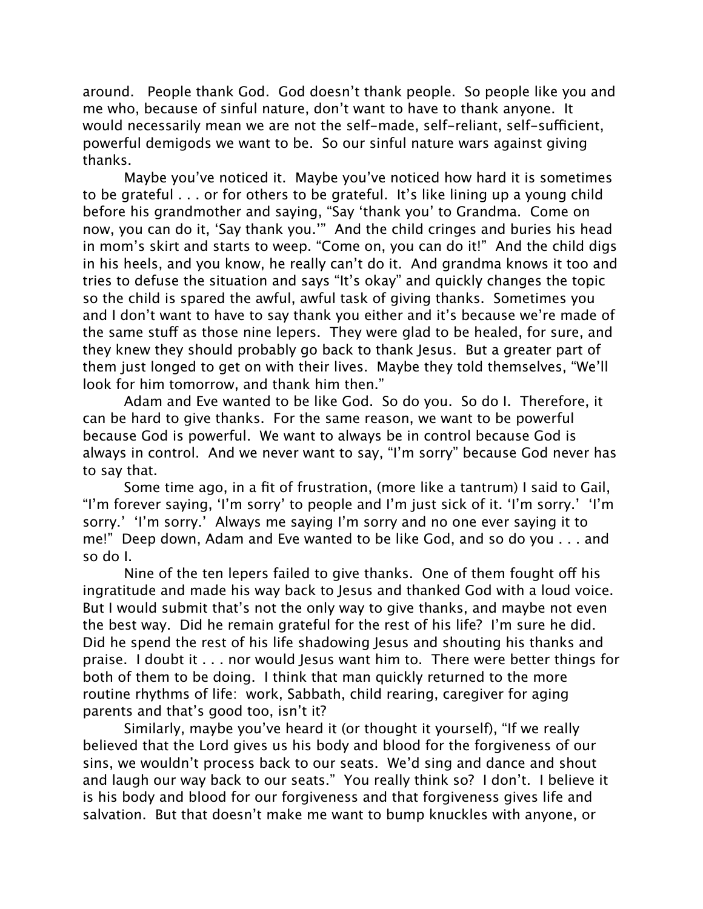around. People thank God. God doesn't thank people. So people like you and me who, because of sinful nature, don't want to have to thank anyone. It would necessarily mean we are not the self-made, self-reliant, self-sufficient, powerful demigods we want to be. So our sinful nature wars against giving thanks.

Maybe you've noticed it. Maybe you've noticed how hard it is sometimes to be grateful . . . or for others to be grateful. It's like lining up a young child before his grandmother and saying, "Say 'thank you' to Grandma. Come on now, you can do it, 'Say thank you.'" And the child cringes and buries his head in mom's skirt and starts to weep. "Come on, you can do it!" And the child digs in his heels, and you know, he really can't do it. And grandma knows it too and tries to defuse the situation and says "It's okay" and quickly changes the topic so the child is spared the awful, awful task of giving thanks. Sometimes you and I don't want to have to say thank you either and it's because we're made of the same stuff as those nine lepers. They were glad to be healed, for sure, and they knew they should probably go back to thank Jesus. But a greater part of them just longed to get on with their lives. Maybe they told themselves, "We'll look for him tomorrow, and thank him then."

Adam and Eve wanted to be like God. So do you. So do I. Therefore, it can be hard to give thanks. For the same reason, we want to be powerful because God is powerful. We want to always be in control because God is always in control. And we never want to say, "I'm sorry" because God never has to say that.

Some time ago, in a fit of frustration, (more like a tantrum) I said to Gail, "I'm forever saying, 'I'm sorry' to people and I'm just sick of it. 'I'm sorry.' 'I'm sorry.' 'I'm sorry.' Always me saying I'm sorry and no one ever saying it to me!" Deep down, Adam and Eve wanted to be like God, and so do you . . . and so do I.

Nine of the ten lepers failed to give thanks. One of them fought off his ingratitude and made his way back to Jesus and thanked God with a loud voice. But I would submit that's not the only way to give thanks, and maybe not even the best way. Did he remain grateful for the rest of his life? I'm sure he did. Did he spend the rest of his life shadowing Jesus and shouting his thanks and praise. I doubt it . . . nor would Jesus want him to. There were better things for both of them to be doing. I think that man quickly returned to the more routine rhythms of life: work, Sabbath, child rearing, caregiver for aging parents and that's good too, isn't it?

Similarly, maybe you've heard it (or thought it yourself), "If we really believed that the Lord gives us his body and blood for the forgiveness of our sins, we wouldn't process back to our seats. We'd sing and dance and shout and laugh our way back to our seats." You really think so? I don't. I believe it is his body and blood for our forgiveness and that forgiveness gives life and salvation. But that doesn't make me want to bump knuckles with anyone, or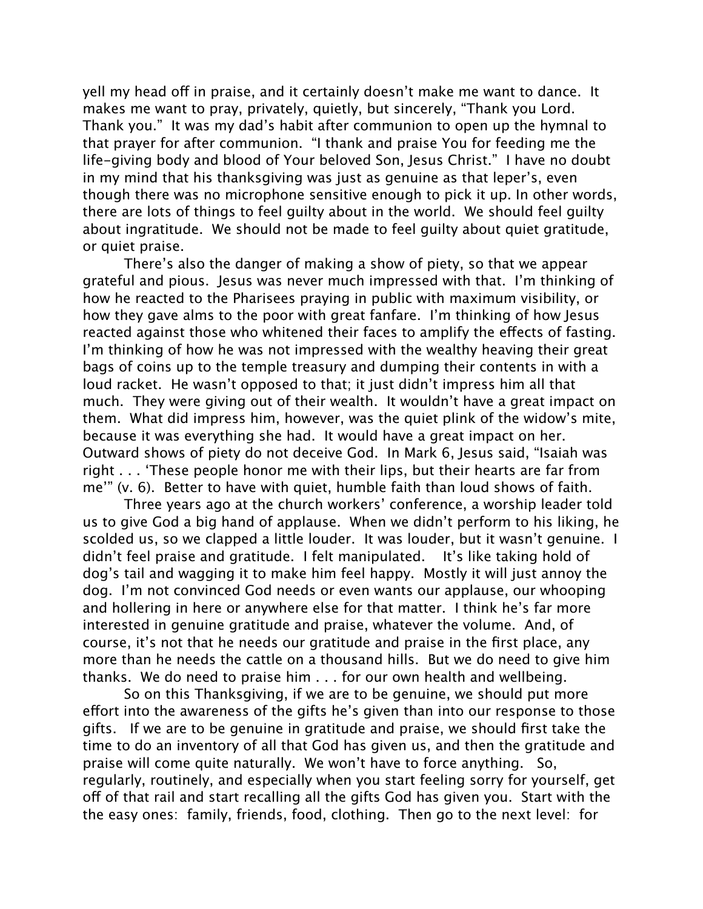yell my head off in praise, and it certainly doesn't make me want to dance. It makes me want to pray, privately, quietly, but sincerely, "Thank you Lord. Thank you." It was my dad's habit after communion to open up the hymnal to that prayer for after communion. "I thank and praise You for feeding me the life-giving body and blood of Your beloved Son, Jesus Christ." I have no doubt in my mind that his thanksgiving was just as genuine as that leper's, even though there was no microphone sensitive enough to pick it up. In other words, there are lots of things to feel guilty about in the world. We should feel guilty about ingratitude. We should not be made to feel guilty about quiet gratitude, or quiet praise.

There's also the danger of making a show of piety, so that we appear grateful and pious. Jesus was never much impressed with that. I'm thinking of how he reacted to the Pharisees praying in public with maximum visibility, or how they gave alms to the poor with great fanfare. I'm thinking of how Jesus reacted against those who whitened their faces to amplify the effects of fasting. I'm thinking of how he was not impressed with the wealthy heaving their great bags of coins up to the temple treasury and dumping their contents in with a loud racket. He wasn't opposed to that; it just didn't impress him all that much. They were giving out of their wealth. It wouldn't have a great impact on them. What did impress him, however, was the quiet plink of the widow's mite, because it was everything she had. It would have a great impact on her. Outward shows of piety do not deceive God. In Mark 6, Jesus said, "Isaiah was right . . . 'These people honor me with their lips, but their hearts are far from me'" (v. 6). Better to have with quiet, humble faith than loud shows of faith.

Three years ago at the church workers' conference, a worship leader told us to give God a big hand of applause. When we didn't perform to his liking, he scolded us, so we clapped a little louder. It was louder, but it wasn't genuine. I didn't feel praise and gratitude. I felt manipulated. It's like taking hold of dog's tail and wagging it to make him feel happy. Mostly it will just annoy the dog. I'm not convinced God needs or even wants our applause, our whooping and hollering in here or anywhere else for that matter. I think he's far more interested in genuine gratitude and praise, whatever the volume. And, of course, it's not that he needs our gratitude and praise in the first place, any more than he needs the cattle on a thousand hills. But we do need to give him thanks. We do need to praise him . . . for our own health and wellbeing.

So on this Thanksgiving, if we are to be genuine, we should put more effort into the awareness of the gifts he's given than into our response to those gifts. If we are to be genuine in gratitude and praise, we should first take the time to do an inventory of all that God has given us, and then the gratitude and praise will come quite naturally. We won't have to force anything. So, regularly, routinely, and especially when you start feeling sorry for yourself, get off of that rail and start recalling all the gifts God has given you. Start with the the easy ones: family, friends, food, clothing. Then go to the next level: for